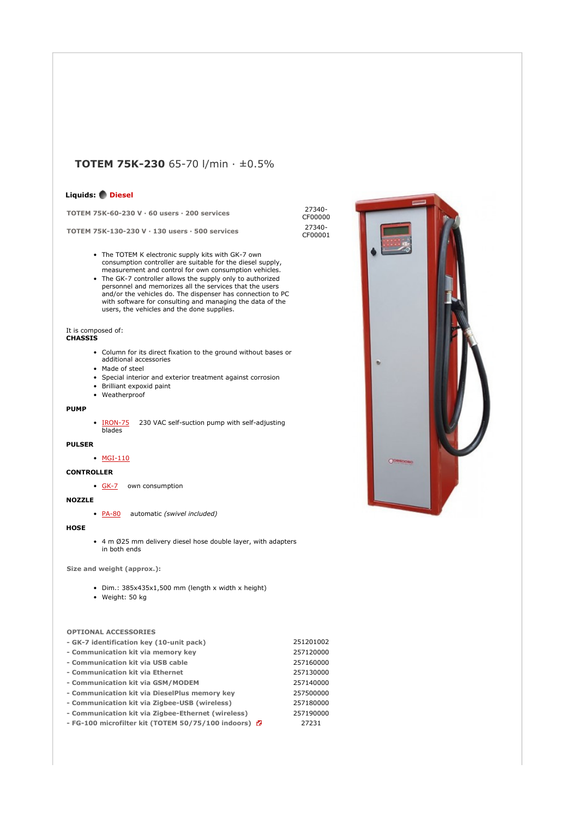# **TOTEM 75K-230** 65-70 l/min · ±0.5%

# **Liquids: Diesel**

**TOTEM 75K-60-230 V · 60 users · 200 services** 27340-

**TOTEM 75K-130-230 V · 130 users · 500 services** 27340-

- The TOTEM K electronic supply kits with GK-7 own consumption controller are suitable for the diesel supply, measurement and control for own consumption vehicles.
- The GK-7 controller allows the supply only to authorized personnel and memorizes all the services that the users and/or the vehicles do. The dispenser has connection to PC with software for consulting and managing the data of the users, the vehicles and the done supplies.

#### It is composed of: **CHASSIS**

- Column for its direct fixation to the ground without bases or additional accessories • Made of steel
- 
- Special interior and exterior treatment against corrosion
- Brilliant expoxid paint
- Weatherproof

# **PUMP**

• IRON-75 230 VAC self-suction pump with self-adjusting **blades** 

## **PULSER**

# • MGI-110

**CONTROLLER**

• GK-7 own consumption

# **NOZZLE**

• PA-80 automatic *(swivel included)*

#### **HOSE**

• 4 m Ø25 mm delivery diesel hose double layer, with adapters in both ends

**Size and weight (approx.):** 

- Dim.: 385x435x1,500 mm (length x width x height)
- Weight: 50 kg

## **OPTIONAL ACCESSORIES**

| - FG-100 microfilter kit (TOTEM 50/75/100 indoors) D | 27231     |
|------------------------------------------------------|-----------|
| - Communication kit via Zigbee-Ethernet (wireless)   | 257190000 |
| - Communication kit via Zigbee-USB (wireless)        | 257180000 |
| - Communication kit via DieselPlus memory key        | 257500000 |
| - Communication kit via GSM/MODEM                    | 257140000 |
| - Communication kit via Ethernet                     | 257130000 |
| - Communication kit via USB cable                    | 257160000 |
| - Communication kit via memory key                   | 257120000 |
| - GK-7 identification key (10-unit pack)             | 251201002 |

CF00000 CF00001

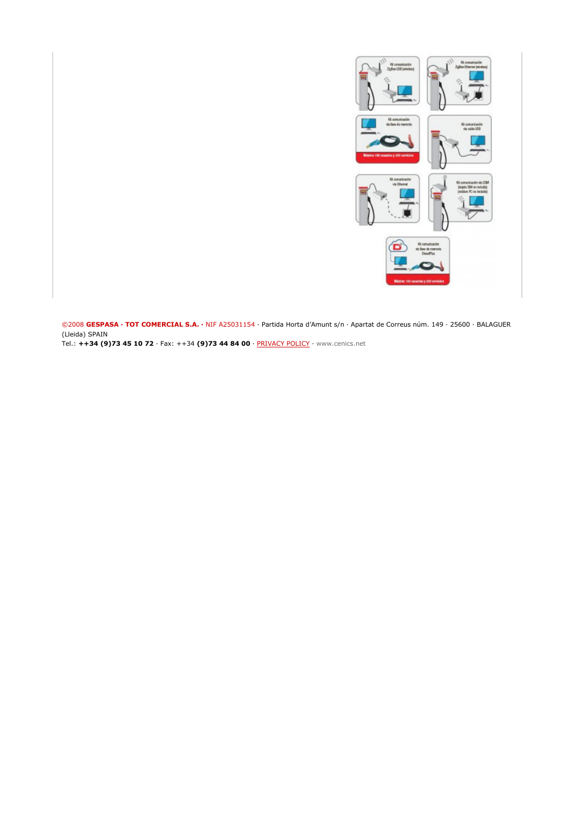

©2008 **GESPASA · TOT COMERCIAL S.A. ·** NIF A25031154 · Partida Horta d'Amunt s/n · Apartat de Correus núm. 149 · 25600 · BALAGUER (Lleida) SPAIN

Tel.: **++34 (9)73 45 10 72** · Fax: ++34 **(9)73 44 84 00** · PRIVACY POLICY · www.cenics.net